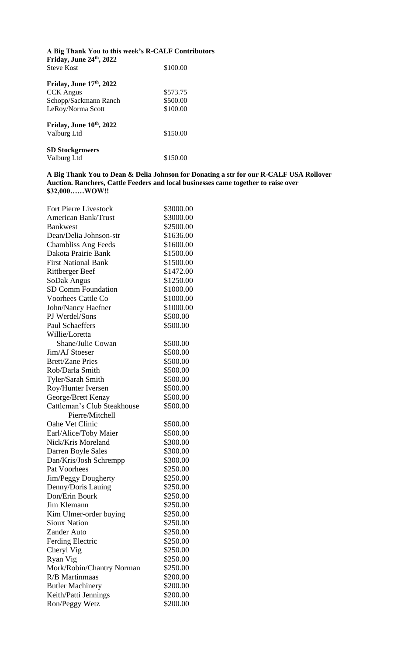| A Big Thank You to this week's R-CALF Contributors<br>Friday, June 24th, 2022 |          |  |
|-------------------------------------------------------------------------------|----------|--|
| <b>Steve Kost</b>                                                             | \$100.00 |  |
| Friday, June $17th$ , 2022                                                    |          |  |
| <b>CCK</b> Angus                                                              | \$573.75 |  |
| Schopp/Sackmann Ranch                                                         | \$500.00 |  |
| LeRoy/Norma Scott                                                             | \$100.00 |  |
| Friday, June $10th$ , 2022                                                    |          |  |
| Valburg Ltd                                                                   | \$150.00 |  |
| <b>SD Stockgrowers</b>                                                        |          |  |
| Valburg Ltd                                                                   | \$150.00 |  |

**A Big Thank You to Dean & Delia Johnson for Donating a str for our R-CALF USA Rollover Auction. Ranchers, Cattle Feeders and local businesses came together to raise over \$32,000……WOW!!**

| <b>Fort Pierre Livestock</b> | \$3000.00 |
|------------------------------|-----------|
| <b>American Bank/Trust</b>   | \$3000.00 |
| <b>Bankwest</b>              | \$2500.00 |
| Dean/Delia Johnson-str       | \$1636.00 |
| <b>Chambliss Ang Feeds</b>   | \$1600.00 |
| Dakota Prairie Bank          | \$1500.00 |
| <b>First National Bank</b>   | \$1500.00 |
| <b>Rittberger Beef</b>       | \$1472.00 |
| SoDak Angus                  | \$1250.00 |
| <b>SD Comm Foundation</b>    | \$1000.00 |
| <b>Voorhees Cattle Co</b>    | \$1000.00 |
| John/Nancy Haefner           | \$1000.00 |
| PJ Werdel/Sons               | \$500.00  |
| <b>Paul Schaeffers</b>       | \$500.00  |
| Willie/Loretta               |           |
| Shane/Julie Cowan            | \$500.00  |
| Jim/AJ Stoeser               | \$500.00  |
| <b>Brett/Zane Pries</b>      | \$500.00  |
| Rob/Darla Smith              | \$500.00  |
| Tyler/Sarah Smith            | \$500.00  |
| Roy/Hunter Iversen           | \$500.00  |
| George/Brett Kenzy           | \$500.00  |
| Cattleman's Club Steakhouse  | \$500.00  |
| Pierre/Mitchell              |           |
| Oahe Vet Clinic              | \$500.00  |
| Earl/Alice/Toby Maier        | \$500.00  |
| Nick/Kris Moreland           | \$300.00  |
| Darren Boyle Sales           | \$300.00  |
| Dan/Kris/Josh Schrempp       | \$300.00  |
| Pat Voorhees                 | \$250.00  |
| <b>Jim/Peggy Dougherty</b>   | \$250.00  |
| Denny/Doris Lauing           | \$250.00  |
| Don/Erin Bourk               | \$250.00  |
| Jim Klemann                  | \$250.00  |
| Kim Ulmer-order buying       | \$250.00  |
| <b>Sioux Nation</b>          | \$250.00  |
| <b>Zander Auto</b>           | \$250.00  |
| Ferding Electric             | \$250.00  |
| Cheryl Vig                   | \$250.00  |
| Ryan Vig                     | \$250.00  |
| Mork/Robin/Chantry Norman    | \$250.00  |
| <b>R/B</b> Martinmaas        | \$200.00  |
| <b>Butler Machinery</b>      | \$200.00  |
| Keith/Patti Jennings         | \$200.00  |
| Ron/Peggy Wetz               | \$200.00  |
|                              |           |